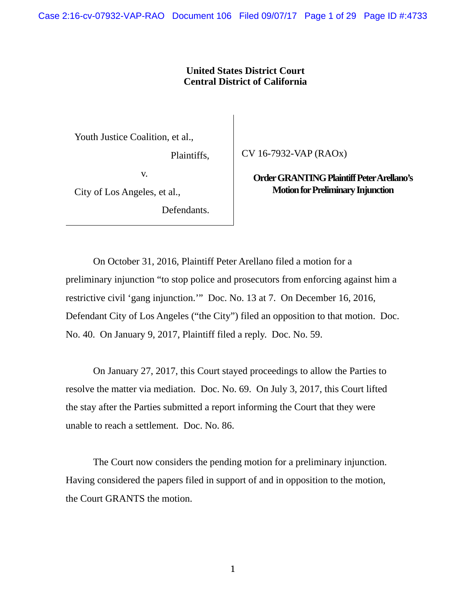# **United States District Court Central District of California**

Youth Justice Coalition, et al.,

Plaintiffs,

v.

City of Los Angeles, et al.,

Defendants.

CV 16-7932-VAP (RAOx)

**Order GRANTING Plaintiff Peter Arellano's Motion for Preliminary Injunction** 

On October 31, 2016, Plaintiff Peter Arellano filed a motion for a preliminary injunction "to stop police and prosecutors from enforcing against him a restrictive civil 'gang injunction.'" Doc. No. 13 at 7. On December 16, 2016, Defendant City of Los Angeles ("the City") filed an opposition to that motion. Doc. No. 40. On January 9, 2017, Plaintiff filed a reply. Doc. No. 59.

On January 27, 2017, this Court stayed proceedings to allow the Parties to resolve the matter via mediation. Doc. No. 69. On July 3, 2017, this Court lifted the stay after the Parties submitted a report informing the Court that they were unable to reach a settlement. Doc. No. 86.

The Court now considers the pending motion for a preliminary injunction. Having considered the papers filed in support of and in opposition to the motion, the Court GRANTS the motion.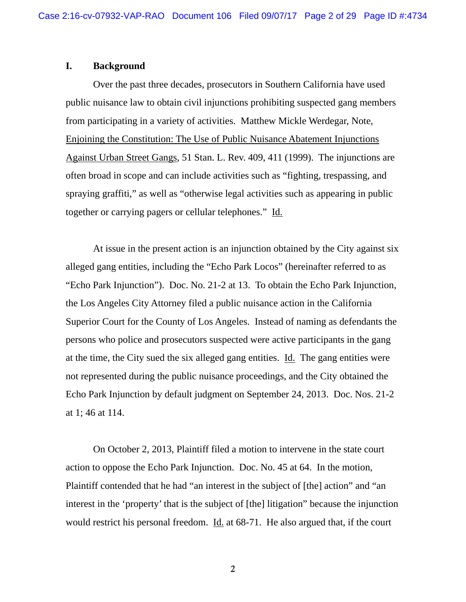#### **I. Background**

 Over the past three decades, prosecutors in Southern California have used public nuisance law to obtain civil injunctions prohibiting suspected gang members from participating in a variety of activities. Matthew Mickle Werdegar, Note, Enjoining the Constitution: The Use of Public Nuisance Abatement Injunctions Against Urban Street Gangs, 51 Stan. L. Rev. 409, 411 (1999). The injunctions are often broad in scope and can include activities such as "fighting, trespassing, and spraying graffiti," as well as "otherwise legal activities such as appearing in public together or carrying pagers or cellular telephones." Id.

 At issue in the present action is an injunction obtained by the City against six alleged gang entities, including the "Echo Park Locos" (hereinafter referred to as "Echo Park Injunction"). Doc. No. 21-2 at 13. To obtain the Echo Park Injunction, the Los Angeles City Attorney filed a public nuisance action in the California Superior Court for the County of Los Angeles. Instead of naming as defendants the persons who police and prosecutors suspected were active participants in the gang at the time, the City sued the six alleged gang entities. Id. The gang entities were not represented during the public nuisance proceedings, and the City obtained the Echo Park Injunction by default judgment on September 24, 2013. Doc. Nos. 21-2 at 1; 46 at 114.

 On October 2, 2013, Plaintiff filed a motion to intervene in the state court action to oppose the Echo Park Injunction. Doc. No. 45 at 64. In the motion, Plaintiff contended that he had "an interest in the subject of [the] action" and "an interest in the 'property' that is the subject of [the] litigation" because the injunction would restrict his personal freedom. Id. at 68-71. He also argued that, if the court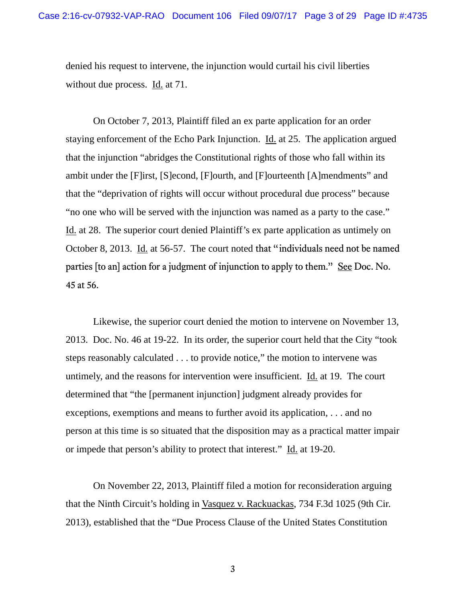denied his request to intervene, the injunction would curtail his civil liberties without due process. Id. at 71.

On October 7, 2013, Plaintiff filed an ex parte application for an order staying enforcement of the Echo Park Injunction. Id. at 25. The application argued that the injunction "abridges the Constitutional rights of those who fall within its ambit under the [F]irst, [S]econd, [F]ourth, and [F]ourteenth [A]mendments" and that the "deprivation of rights will occur without procedural due process" because "no one who will be served with the injunction was named as a party to the case." Id. at 28. The superior court denied Plaintiff's ex parte application as untimely on October 8, 2013. Id. at 56-57. The court noted that "individuals need not be named parties [to an] action for a judgment of injunction to apply to them." See Doc. No. 45 at 56.

Likewise, the superior court denied the motion to intervene on November 13, 2013. Doc. No. 46 at 19-22. In its order, the superior court held that the City "took steps reasonably calculated . . . to provide notice," the motion to intervene was untimely, and the reasons for intervention were insufficient. Id. at 19. The court determined that "the [permanent injunction] judgment already provides for exceptions, exemptions and means to further avoid its application, . . . and no person at this time is so situated that the disposition may as a practical matter impair or impede that person's ability to protect that interest." Id. at 19-20.

 On November 22, 2013, Plaintiff filed a motion for reconsideration arguing that the Ninth Circuit's holding in Vasquez v. Rackuackas, 734 F.3d 1025 (9th Cir. 2013), established that the "Due Process Clause of the United States Constitution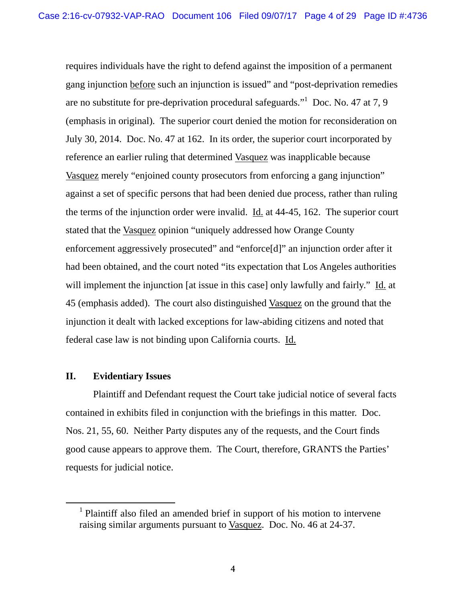requires individuals have the right to defend against the imposition of a permanent gang injunction before such an injunction is issued" and "post-deprivation remedies are no substitute for pre-deprivation procedural safeguards." Doc. No. 47 at 7, 9 (emphasis in original). The superior court denied the motion for reconsideration on July 30, 2014. Doc. No. 47 at 162. In its order, the superior court incorporated by reference an earlier ruling that determined Vasquez was inapplicable because Vasquez merely "enjoined county prosecutors from enforcing a gang injunction" against a set of specific persons that had been denied due process, rather than ruling the terms of the injunction order were invalid.  $\underline{Id}$  at 44-45, 162. The superior court stated that the Vasquez opinion "uniquely addressed how Orange County enforcement aggressively prosecuted" and "enforce[d]" an injunction order after it had been obtained, and the court noted "its expectation that Los Angeles authorities will implement the injunction [at issue in this case] only lawfully and fairly." Id. at 45 (emphasis added). The court also distinguished Vasquez on the ground that the injunction it dealt with lacked exceptions for law-abiding citizens and noted that federal case law is not binding upon California courts. Id.

# **II. Evidentiary Issues**

 Plaintiff and Defendant request the Court take judicial notice of several facts contained in exhibits filed in conjunction with the briefings in this matter. Doc. Nos. 21, 55, 60. Neither Party disputes any of the requests, and the Court finds good cause appears to approve them. The Court, therefore, GRANTS the Parties' requests for judicial notice.

<sup>1</sup> <sup>1</sup> Plaintiff also filed an amended brief in support of his motion to intervene raising similar arguments pursuant to Vasquez. Doc. No. 46 at 24-37.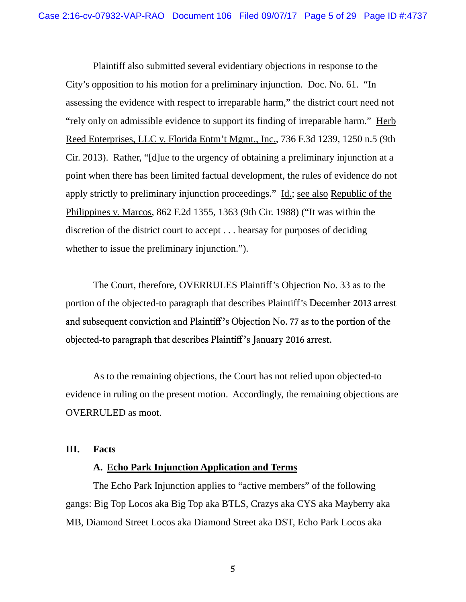Plaintiff also submitted several evidentiary objections in response to the City's opposition to his motion for a preliminary injunction. Doc. No. 61. "In assessing the evidence with respect to irreparable harm," the district court need not "rely only on admissible evidence to support its finding of irreparable harm." Herb Reed Enterprises, LLC v. Florida Entm't Mgmt., Inc., 736 F.3d 1239, 1250 n.5 (9th Cir. 2013). Rather, "[d]ue to the urgency of obtaining a preliminary injunction at a point when there has been limited factual development, the rules of evidence do not apply strictly to preliminary injunction proceedings." Id.; see also Republic of the Philippines v. Marcos, 862 F.2d 1355, 1363 (9th Cir. 1988) ("It was within the discretion of the district court to accept . . . hearsay for purposes of deciding whether to issue the preliminary injunction.").

The Court, therefore, OVERRULES Plaintiff's Objection No. 33 as to the portion of the objected-to paragraph that describes Plaintiff's December 2013 arrest and subsequent conviction and Plaintiff's Objection No. 77 as to the portion of the objected-to paragraph that describes Plaintiff's January 2016 arrest.

As to the remaining objections, the Court has not relied upon objected-to evidence in ruling on the present motion. Accordingly, the remaining objections are OVERRULED as moot.

# **III. Facts**

# **A. Echo Park Injunction Application and Terms**

 The Echo Park Injunction applies to "active members" of the following gangs: Big Top Locos aka Big Top aka BTLS, Crazys aka CYS aka Mayberry aka MB, Diamond Street Locos aka Diamond Street aka DST, Echo Park Locos aka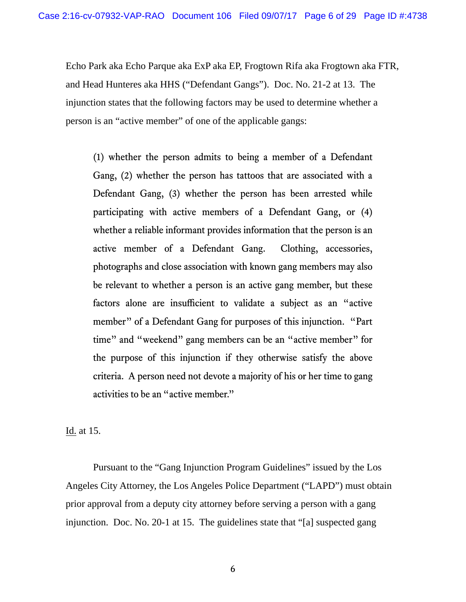Echo Park aka Echo Parque aka ExP aka EP, Frogtown Rifa aka Frogtown aka FTR, and Head Hunteres aka HHS ("Defendant Gangs"). Doc. No. 21-2 at 13. The injunction states that the following factors may be used to determine whether a person is an "active member" of one of the applicable gangs:

(1) whether the person admits to being a member of a Defendant Gang, (2) whether the person has tattoos that are associated with a Defendant Gang, (3) whether the person has been arrested while participating with active members of a Defendant Gang, or (4) whether a reliable informant provides information that the person is an active member of a Defendant Gang. Clothing, accessories, photographs and close association with known gang members may also be relevant to whether a person is an active gang member, but these factors alone are insufficient to validate a subject as an "active member" of a Defendant Gang for purposes of this injunction. "Part time" and "weekend" gang members can be an "active member" for the purpose of this injunction if they otherwise satisfy the above criteria. A person need not devote a majority of his or her time to gang activities to be an "active member."

Id. at 15.

 Pursuant to the "Gang Injunction Program Guidelines" issued by the Los Angeles City Attorney, the Los Angeles Police Department ("LAPD") must obtain prior approval from a deputy city attorney before serving a person with a gang injunction. Doc. No. 20-1 at 15. The guidelines state that "[a] suspected gang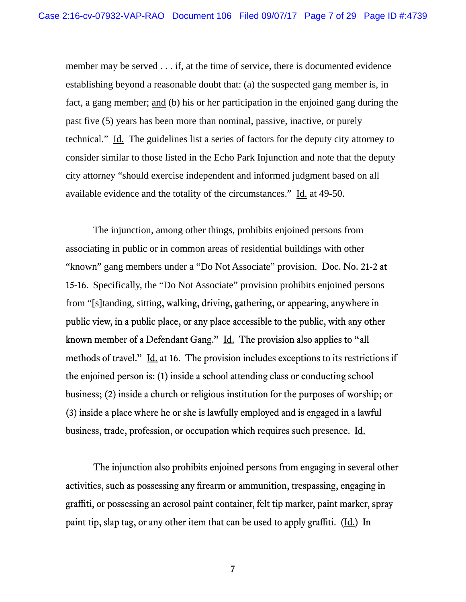member may be served . . . if, at the time of service, there is documented evidence establishing beyond a reasonable doubt that: (a) the suspected gang member is, in fact, a gang member; and (b) his or her participation in the enjoined gang during the past five (5) years has been more than nominal, passive, inactive, or purely technical." Id. The guidelines list a series of factors for the deputy city attorney to consider similar to those listed in the Echo Park Injunction and note that the deputy city attorney "should exercise independent and informed judgment based on all available evidence and the totality of the circumstances." Id. at 49-50.

The injunction, among other things, prohibits enjoined persons from associating in public or in common areas of residential buildings with other "known" gang members under a "Do Not Associate" provision. Doc. No. 21-2 at 15-16. Specifically, the "Do Not Associate" provision prohibits enjoined persons from "[s]tanding, sitting, walking, driving, gathering, or appearing, anywhere in public view, in a public place, or any place accessible to the public, with any other known member of a Defendant Gang." Id. The provision also applies to "all methods of travel." Id. at 16. The provision includes exceptions to its restrictions if the enjoined person is: (1) inside a school attending class or conducting school business; (2) inside a church or religious institution for the purposes of worship; or (3) inside a place where he or she is lawfully employed and is engaged in a lawful business, trade, profession, or occupation which requires such presence. Id.

 The injunction also prohibits enjoined persons from engaging in several other activities, such as possessing any firearm or ammunition, trespassing, engaging in graffiti, or possessing an aerosol paint container, felt tip marker, paint marker, spray paint tip, slap tag, or any other item that can be used to apply graffiti. (Id.) In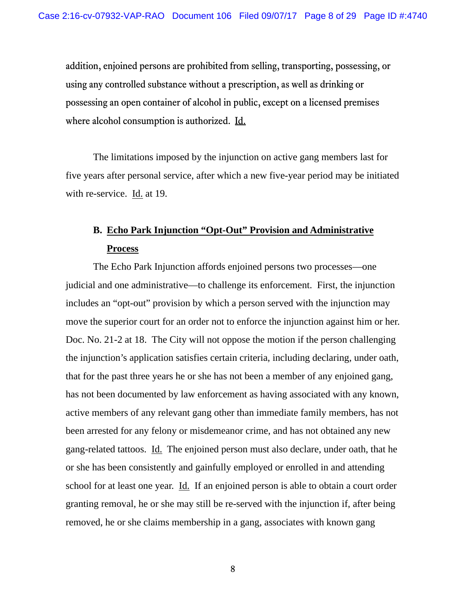addition, enjoined persons are prohibited from selling, transporting, possessing, or using any controlled substance without a prescription, as well as drinking or possessing an open container of alcohol in public, except on a licensed premises where alcohol consumption is authorized. Id.

The limitations imposed by the injunction on active gang members last for five years after personal service, after which a new five-year period may be initiated with re-service. Id. at 19.

# **B. Echo Park Injunction "Opt-Out" Provision and Administrative Process**

 The Echo Park Injunction affords enjoined persons two processes—one judicial and one administrative—to challenge its enforcement. First, the injunction includes an "opt-out" provision by which a person served with the injunction may move the superior court for an order not to enforce the injunction against him or her. Doc. No. 21-2 at 18. The City will not oppose the motion if the person challenging the injunction's application satisfies certain criteria, including declaring, under oath, that for the past three years he or she has not been a member of any enjoined gang, has not been documented by law enforcement as having associated with any known, active members of any relevant gang other than immediate family members, has not been arrested for any felony or misdemeanor crime, and has not obtained any new gang-related tattoos. Id. The enjoined person must also declare, under oath, that he or she has been consistently and gainfully employed or enrolled in and attending school for at least one year. Id. If an enjoined person is able to obtain a court order granting removal, he or she may still be re-served with the injunction if, after being removed, he or she claims membership in a gang, associates with known gang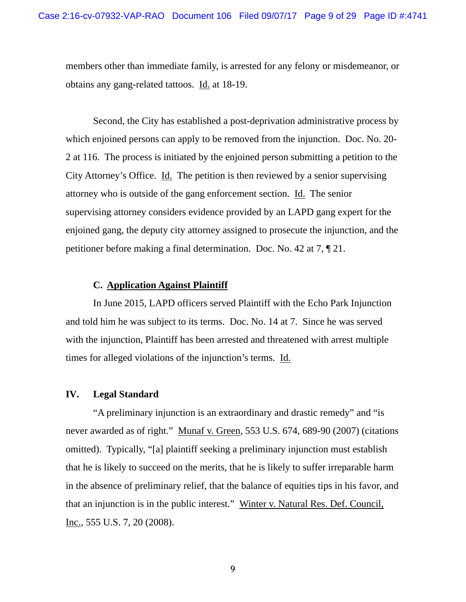members other than immediate family, is arrested for any felony or misdemeanor, or obtains any gang-related tattoos. Id. at 18-19.

 Second, the City has established a post-deprivation administrative process by which enjoined persons can apply to be removed from the injunction. Doc. No. 20- 2 at 116. The process is initiated by the enjoined person submitting a petition to the City Attorney's Office. Id. The petition is then reviewed by a senior supervising attorney who is outside of the gang enforcement section. Id. The senior supervising attorney considers evidence provided by an LAPD gang expert for the enjoined gang, the deputy city attorney assigned to prosecute the injunction, and the petitioner before making a final determination. Doc. No. 42 at 7, ¶ 21.

## **C. Application Against Plaintiff**

In June 2015, LAPD officers served Plaintiff with the Echo Park Injunction and told him he was subject to its terms. Doc. No. 14 at 7. Since he was served with the injunction, Plaintiff has been arrested and threatened with arrest multiple times for alleged violations of the injunction's terms. Id.

#### **IV. Legal Standard**

"A preliminary injunction is an extraordinary and drastic remedy" and "is never awarded as of right." Munaf v. Green, 553 U.S. 674, 689-90 (2007) (citations omitted). Typically, "[a] plaintiff seeking a preliminary injunction must establish that he is likely to succeed on the merits, that he is likely to suffer irreparable harm in the absence of preliminary relief, that the balance of equities tips in his favor, and that an injunction is in the public interest." Winter v. Natural Res. Def. Council, Inc., 555 U.S. 7, 20 (2008).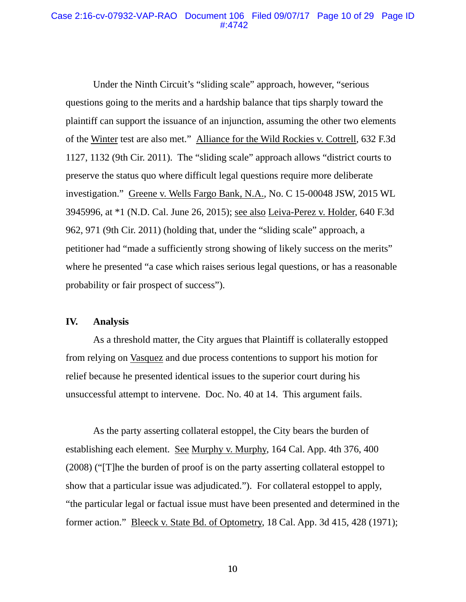### Case 2:16-cv-07932-VAP-RAO Document 106 Filed 09/07/17 Page 10 of 29 Page ID #:4742

Under the Ninth Circuit's "sliding scale" approach, however, "serious questions going to the merits and a hardship balance that tips sharply toward the plaintiff can support the issuance of an injunction, assuming the other two elements of the Winter test are also met." Alliance for the Wild Rockies v. Cottrell, 632 F.3d 1127, 1132 (9th Cir. 2011). The "sliding scale" approach allows "district courts to preserve the status quo where difficult legal questions require more deliberate investigation." Greene v. Wells Fargo Bank, N.A., No. C 15-00048 JSW, 2015 WL 3945996, at \*1 (N.D. Cal. June 26, 2015); see also Leiva-Perez v. Holder, 640 F.3d 962, 971 (9th Cir. 2011) (holding that, under the "sliding scale" approach, a petitioner had "made a sufficiently strong showing of likely success on the merits" where he presented "a case which raises serious legal questions, or has a reasonable probability or fair prospect of success").

## **IV. Analysis**

As a threshold matter, the City argues that Plaintiff is collaterally estopped from relying on Vasquez and due process contentions to support his motion for relief because he presented identical issues to the superior court during his unsuccessful attempt to intervene. Doc. No. 40 at 14. This argument fails.

As the party asserting collateral estoppel, the City bears the burden of establishing each element. See Murphy v. Murphy, 164 Cal. App. 4th 376, 400 (2008) ("[T]he the burden of proof is on the party asserting collateral estoppel to show that a particular issue was adjudicated."). For collateral estoppel to apply, "the particular legal or factual issue must have been presented and determined in the former action." Bleeck v. State Bd. of Optometry, 18 Cal. App. 3d 415, 428 (1971);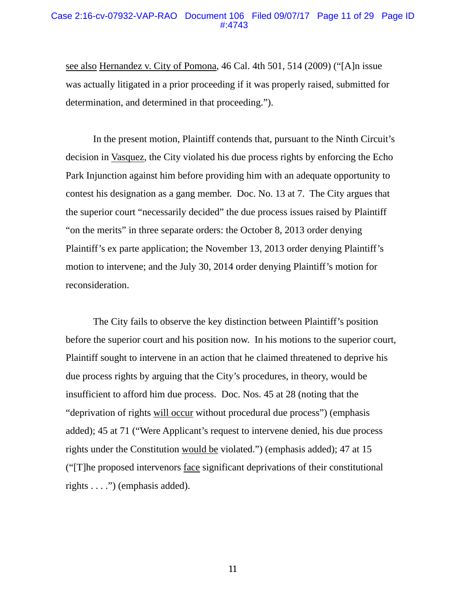#### Case 2:16-cv-07932-VAP-RAO Document 106 Filed 09/07/17 Page 11 of 29 Page ID #:4743

see also Hernandez v. City of Pomona, 46 Cal. 4th 501, 514 (2009) ("[A]n issue was actually litigated in a prior proceeding if it was properly raised, submitted for determination, and determined in that proceeding.").

In the present motion, Plaintiff contends that, pursuant to the Ninth Circuit's decision in Vasquez, the City violated his due process rights by enforcing the Echo Park Injunction against him before providing him with an adequate opportunity to contest his designation as a gang member. Doc. No. 13 at 7. The City argues that the superior court "necessarily decided" the due process issues raised by Plaintiff "on the merits" in three separate orders: the October 8, 2013 order denying Plaintiff's ex parte application; the November 13, 2013 order denying Plaintiff's motion to intervene; and the July 30, 2014 order denying Plaintiff's motion for reconsideration.

The City fails to observe the key distinction between Plaintiff's position before the superior court and his position now. In his motions to the superior court, Plaintiff sought to intervene in an action that he claimed threatened to deprive his due process rights by arguing that the City's procedures, in theory, would be insufficient to afford him due process. Doc. Nos. 45 at 28 (noting that the "deprivation of rights will occur without procedural due process") (emphasis added); 45 at 71 ("Were Applicant's request to intervene denied, his due process rights under the Constitution would be violated.") (emphasis added); 47 at 15 ("[T]he proposed intervenors face significant deprivations of their constitutional rights . . . .") (emphasis added).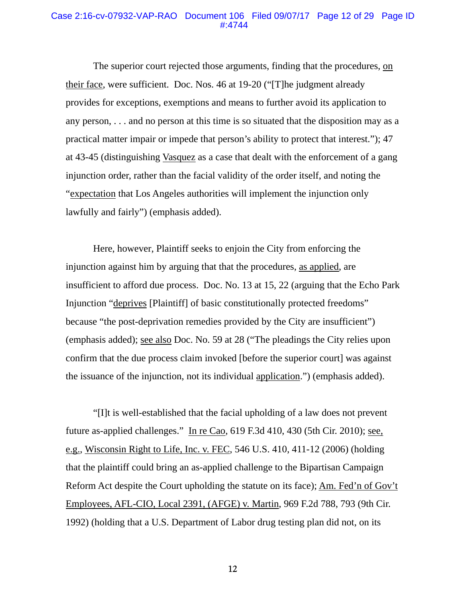#### Case 2:16-cv-07932-VAP-RAO Document 106 Filed 09/07/17 Page 12 of 29 Page ID #:4744

The superior court rejected those arguments, finding that the procedures, on their face, were sufficient. Doc. Nos. 46 at 19-20 ("[T]he judgment already provides for exceptions, exemptions and means to further avoid its application to any person, . . . and no person at this time is so situated that the disposition may as a practical matter impair or impede that person's ability to protect that interest."); 47 at 43-45 (distinguishing Vasquez as a case that dealt with the enforcement of a gang injunction order, rather than the facial validity of the order itself, and noting the "expectation that Los Angeles authorities will implement the injunction only lawfully and fairly") (emphasis added).

Here, however, Plaintiff seeks to enjoin the City from enforcing the injunction against him by arguing that that the procedures, as applied, are insufficient to afford due process. Doc. No. 13 at 15, 22 (arguing that the Echo Park Injunction "deprives [Plaintiff] of basic constitutionally protected freedoms" because "the post-deprivation remedies provided by the City are insufficient") (emphasis added); see also Doc. No. 59 at 28 ("The pleadings the City relies upon confirm that the due process claim invoked [before the superior court] was against the issuance of the injunction, not its individual application.") (emphasis added).

"[I]t is well-established that the facial upholding of a law does not prevent future as-applied challenges." In re Cao, 619 F.3d 410, 430 (5th Cir. 2010); see, e.g., Wisconsin Right to Life, Inc. v. FEC, 546 U.S. 410, 411-12 (2006) (holding that the plaintiff could bring an as-applied challenge to the Bipartisan Campaign Reform Act despite the Court upholding the statute on its face); Am. Fed'n of Gov't Employees, AFL-CIO, Local 2391, (AFGE) v. Martin, 969 F.2d 788, 793 (9th Cir. 1992) (holding that a U.S. Department of Labor drug testing plan did not, on its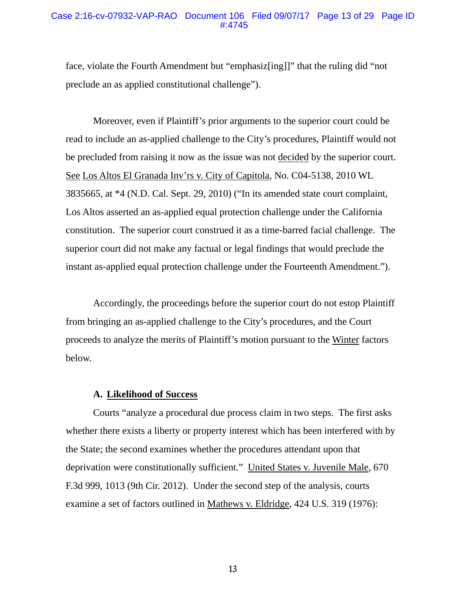#### Case 2:16-cv-07932-VAP-RAO Document 106 Filed 09/07/17 Page 13 of 29 Page ID #:4745

face, violate the Fourth Amendment but "emphasiz[ing]]" that the ruling did "not preclude an as applied constitutional challenge").

Moreover, even if Plaintiff's prior arguments to the superior court could be read to include an as-applied challenge to the City's procedures, Plaintiff would not be precluded from raising it now as the issue was not decided by the superior court. See Los Altos El Granada Inv'rs v. City of Capitola, No. C04-5138, 2010 WL 3835665, at \*4 (N.D. Cal. Sept. 29, 2010) ("In its amended state court complaint, Los Altos asserted an as-applied equal protection challenge under the California constitution. The superior court construed it as a time-barred facial challenge. The superior court did not make any factual or legal findings that would preclude the instant as-applied equal protection challenge under the Fourteenth Amendment.").

Accordingly, the proceedings before the superior court do not estop Plaintiff from bringing an as-applied challenge to the City's procedures, and the Court proceeds to analyze the merits of Plaintiff's motion pursuant to the Winter factors below.

# **A. Likelihood of Success**

Courts "analyze a procedural due process claim in two steps. The first asks whether there exists a liberty or property interest which has been interfered with by the State; the second examines whether the procedures attendant upon that deprivation were constitutionally sufficient." United States v. Juvenile Male, 670 F.3d 999, 1013 (9th Cir. 2012). Under the second step of the analysis, courts examine a set of factors outlined in Mathews v. Eldridge, 424 U.S. 319 (1976):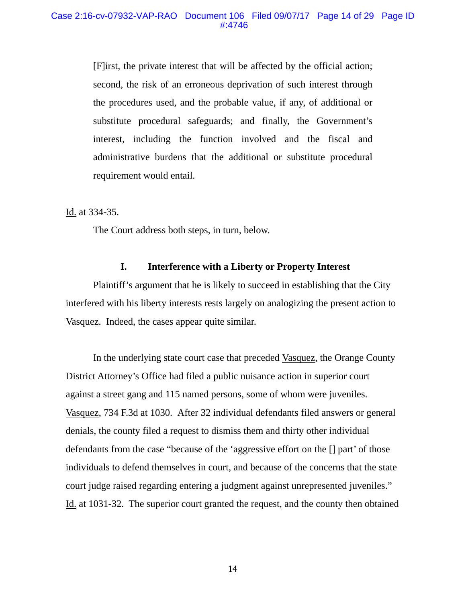[F]irst, the private interest that will be affected by the official action; second, the risk of an erroneous deprivation of such interest through the procedures used, and the probable value, if any, of additional or substitute procedural safeguards; and finally, the Government's interest, including the function involved and the fiscal and administrative burdens that the additional or substitute procedural requirement would entail.

Id. at 334-35.

The Court address both steps, in turn, below.

# **I. Interference with a Liberty or Property Interest**

Plaintiff's argument that he is likely to succeed in establishing that the City interfered with his liberty interests rests largely on analogizing the present action to Vasquez. Indeed, the cases appear quite similar.

In the underlying state court case that preceded Vasquez, the Orange County District Attorney's Office had filed a public nuisance action in superior court against a street gang and 115 named persons, some of whom were juveniles. Vasquez, 734 F.3d at 1030. After 32 individual defendants filed answers or general denials, the county filed a request to dismiss them and thirty other individual defendants from the case "because of the 'aggressive effort on the [] part' of those individuals to defend themselves in court, and because of the concerns that the state court judge raised regarding entering a judgment against unrepresented juveniles." Id. at 1031-32. The superior court granted the request, and the county then obtained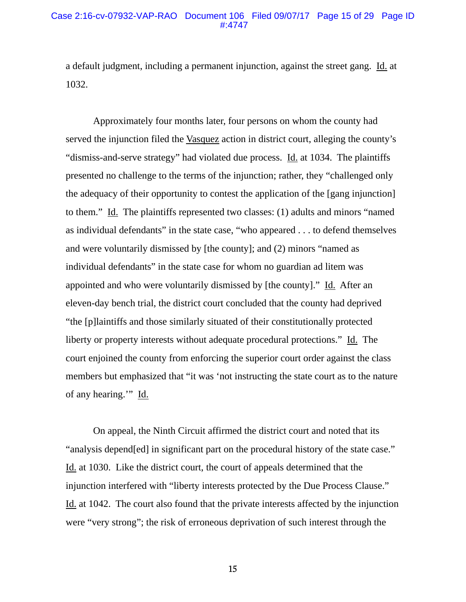#### Case 2:16-cv-07932-VAP-RAO Document 106 Filed 09/07/17 Page 15 of 29 Page ID #:4747

a default judgment, including a permanent injunction, against the street gang. Id. at 1032.

Approximately four months later, four persons on whom the county had served the injunction filed the Vasquez action in district court, alleging the county's "dismiss-and-serve strategy" had violated due process. Id. at 1034. The plaintiffs presented no challenge to the terms of the injunction; rather, they "challenged only the adequacy of their opportunity to contest the application of the [gang injunction] to them." Id. The plaintiffs represented two classes: (1) adults and minors "named as individual defendants" in the state case, "who appeared . . . to defend themselves and were voluntarily dismissed by [the county]; and (2) minors "named as individual defendants" in the state case for whom no guardian ad litem was appointed and who were voluntarily dismissed by [the county]." Id. After an eleven-day bench trial, the district court concluded that the county had deprived "the [p]laintiffs and those similarly situated of their constitutionally protected liberty or property interests without adequate procedural protections." Id. The court enjoined the county from enforcing the superior court order against the class members but emphasized that "it was 'not instructing the state court as to the nature of any hearing.'" Id.

On appeal, the Ninth Circuit affirmed the district court and noted that its "analysis depend[ed] in significant part on the procedural history of the state case." Id. at 1030. Like the district court, the court of appeals determined that the injunction interfered with "liberty interests protected by the Due Process Clause." Id. at 1042. The court also found that the private interests affected by the injunction were "very strong"; the risk of erroneous deprivation of such interest through the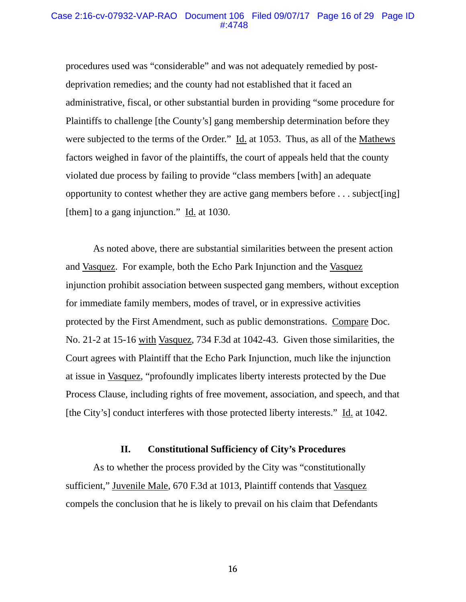#### Case 2:16-cv-07932-VAP-RAO Document 106 Filed 09/07/17 Page 16 of 29 Page ID #:4748

procedures used was "considerable" and was not adequately remedied by postdeprivation remedies; and the county had not established that it faced an administrative, fiscal, or other substantial burden in providing "some procedure for Plaintiffs to challenge [the County's] gang membership determination before they were subjected to the terms of the Order." Id. at 1053. Thus, as all of the Mathews factors weighed in favor of the plaintiffs, the court of appeals held that the county violated due process by failing to provide "class members [with] an adequate opportunity to contest whether they are active gang members before . . . subject[ing] [them] to a gang injunction."  $\underline{Id}$  at 1030.

As noted above, there are substantial similarities between the present action and Vasquez. For example, both the Echo Park Injunction and the Vasquez injunction prohibit association between suspected gang members, without exception for immediate family members, modes of travel, or in expressive activities protected by the First Amendment, such as public demonstrations. Compare Doc. No. 21-2 at 15-16 with Vasquez, 734 F.3d at 1042-43. Given those similarities, the Court agrees with Plaintiff that the Echo Park Injunction, much like the injunction at issue in Vasquez, "profoundly implicates liberty interests protected by the Due Process Clause, including rights of free movement, association, and speech, and that [the City's] conduct interferes with those protected liberty interests." Id. at 1042.

# **II. Constitutional Sufficiency of City's Procedures**

As to whether the process provided by the City was "constitutionally sufficient," Juvenile Male, 670 F.3d at 1013, Plaintiff contends that Vasquez compels the conclusion that he is likely to prevail on his claim that Defendants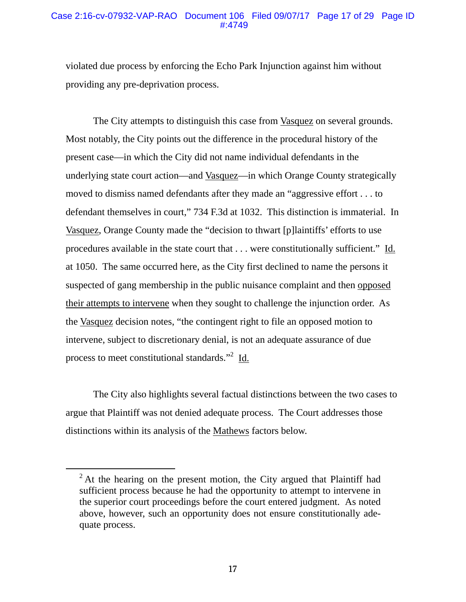# Case 2:16-cv-07932-VAP-RAO Document 106 Filed 09/07/17 Page 17 of 29 Page ID #:4749

violated due process by enforcing the Echo Park Injunction against him without providing any pre-deprivation process.

The City attempts to distinguish this case from Vasquez on several grounds. Most notably, the City points out the difference in the procedural history of the present case—in which the City did not name individual defendants in the underlying state court action—and Vasquez—in which Orange County strategically moved to dismiss named defendants after they made an "aggressive effort . . . to defendant themselves in court," 734 F.3d at 1032. This distinction is immaterial. In Vasquez, Orange County made the "decision to thwart [p]laintiffs' efforts to use procedures available in the state court that . . . were constitutionally sufficient." Id. at 1050. The same occurred here, as the City first declined to name the persons it suspected of gang membership in the public nuisance complaint and then opposed their attempts to intervene when they sought to challenge the injunction order. As the Vasquez decision notes, "the contingent right to file an opposed motion to intervene, subject to discretionary denial, is not an adequate assurance of due process to meet constitutional standards."<sup>2</sup> Id.

The City also highlights several factual distinctions between the two cases to argue that Plaintiff was not denied adequate process. The Court addresses those distinctions within its analysis of the Mathews factors below.

<sup>&</sup>lt;sup>2</sup> At the hearing on the present motion, the City argued that Plaintiff had sufficient process because he had the opportunity to attempt to intervene in the superior court proceedings before the court entered judgment. As noted above, however, such an opportunity does not ensure constitutionally adequate process.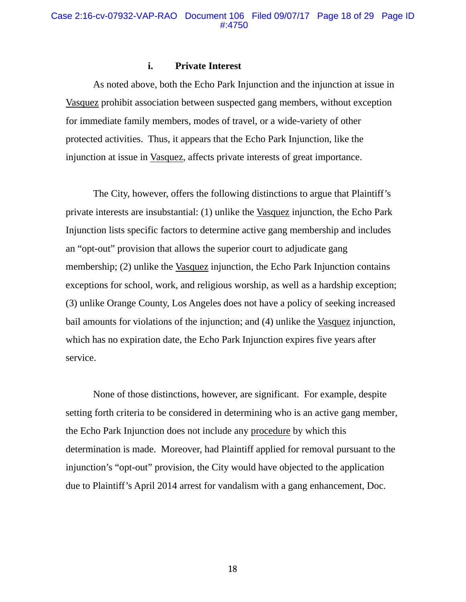## **i. Private Interest**

As noted above, both the Echo Park Injunction and the injunction at issue in Vasquez prohibit association between suspected gang members, without exception for immediate family members, modes of travel, or a wide-variety of other protected activities. Thus, it appears that the Echo Park Injunction, like the injunction at issue in Vasquez, affects private interests of great importance.

The City, however, offers the following distinctions to argue that Plaintiff's private interests are insubstantial: (1) unlike the Vasquez injunction, the Echo Park Injunction lists specific factors to determine active gang membership and includes an "opt-out" provision that allows the superior court to adjudicate gang membership; (2) unlike the Vasquez injunction, the Echo Park Injunction contains exceptions for school, work, and religious worship, as well as a hardship exception; (3) unlike Orange County, Los Angeles does not have a policy of seeking increased bail amounts for violations of the injunction; and (4) unlike the Vasquez injunction, which has no expiration date, the Echo Park Injunction expires five years after service.

None of those distinctions, however, are significant. For example, despite setting forth criteria to be considered in determining who is an active gang member, the Echo Park Injunction does not include any procedure by which this determination is made. Moreover, had Plaintiff applied for removal pursuant to the injunction's "opt-out" provision, the City would have objected to the application due to Plaintiff's April 2014 arrest for vandalism with a gang enhancement, Doc.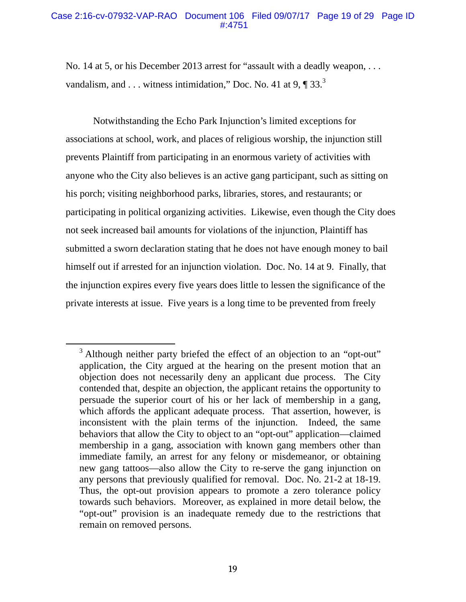# Case 2:16-cv-07932-VAP-RAO Document 106 Filed 09/07/17 Page 19 of 29 Page ID #:4751

No. 14 at 5, or his December 2013 arrest for "assault with a deadly weapon, . . . vandalism, and . . . witness intimidation," Doc. No. 41 at 9, ¶ 33.<sup>3</sup>

Notwithstanding the Echo Park Injunction's limited exceptions for associations at school, work, and places of religious worship, the injunction still prevents Plaintiff from participating in an enormous variety of activities with anyone who the City also believes is an active gang participant, such as sitting on his porch; visiting neighborhood parks, libraries, stores, and restaurants; or participating in political organizing activities. Likewise, even though the City does not seek increased bail amounts for violations of the injunction, Plaintiff has submitted a sworn declaration stating that he does not have enough money to bail himself out if arrested for an injunction violation. Doc. No. 14 at 9. Finally, that the injunction expires every five years does little to lessen the significance of the private interests at issue. Five years is a long time to be prevented from freely

<sup>&</sup>lt;sup>3</sup> Although neither party briefed the effect of an objection to an "opt-out" application, the City argued at the hearing on the present motion that an objection does not necessarily deny an applicant due process. The City contended that, despite an objection, the applicant retains the opportunity to persuade the superior court of his or her lack of membership in a gang, which affords the applicant adequate process. That assertion, however, is inconsistent with the plain terms of the injunction. Indeed, the same behaviors that allow the City to object to an "opt-out" application—claimed membership in a gang, association with known gang members other than immediate family, an arrest for any felony or misdemeanor, or obtaining new gang tattoos—also allow the City to re-serve the gang injunction on any persons that previously qualified for removal. Doc. No. 21-2 at 18-19. Thus, the opt-out provision appears to promote a zero tolerance policy towards such behaviors. Moreover, as explained in more detail below, the "opt-out" provision is an inadequate remedy due to the restrictions that remain on removed persons.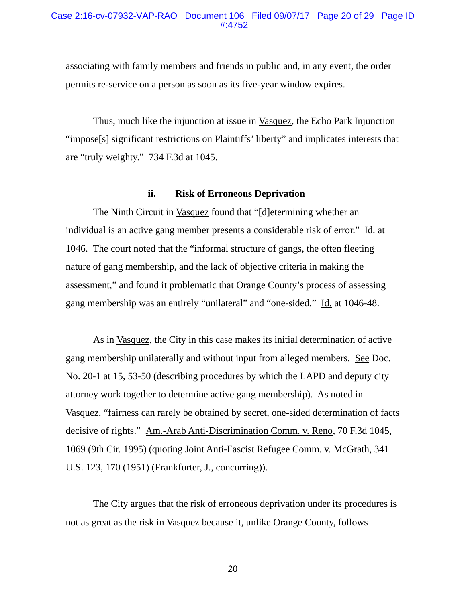#### Case 2:16-cv-07932-VAP-RAO Document 106 Filed 09/07/17 Page 20 of 29 Page ID #:4752

associating with family members and friends in public and, in any event, the order permits re-service on a person as soon as its five-year window expires.

Thus, much like the injunction at issue in Vasquez, the Echo Park Injunction "impose[s] significant restrictions on Plaintiffs' liberty" and implicates interests that are "truly weighty." 734 F.3d at 1045.

## **ii. Risk of Erroneous Deprivation**

The Ninth Circuit in Vasquez found that "[d]etermining whether an individual is an active gang member presents a considerable risk of error." Id. at 1046. The court noted that the "informal structure of gangs, the often fleeting nature of gang membership, and the lack of objective criteria in making the assessment," and found it problematic that Orange County's process of assessing gang membership was an entirely "unilateral" and "one-sided." Id. at 1046-48.

As in Vasquez, the City in this case makes its initial determination of active gang membership unilaterally and without input from alleged members. See Doc. No. 20-1 at 15, 53-50 (describing procedures by which the LAPD and deputy city attorney work together to determine active gang membership). As noted in Vasquez, "fairness can rarely be obtained by secret, one-sided determination of facts decisive of rights." Am.-Arab Anti-Discrimination Comm. v. Reno, 70 F.3d 1045, 1069 (9th Cir. 1995) (quoting Joint Anti-Fascist Refugee Comm. v. McGrath, 341 U.S. 123, 170 (1951) (Frankfurter, J., concurring)).

The City argues that the risk of erroneous deprivation under its procedures is not as great as the risk in Vasquez because it, unlike Orange County, follows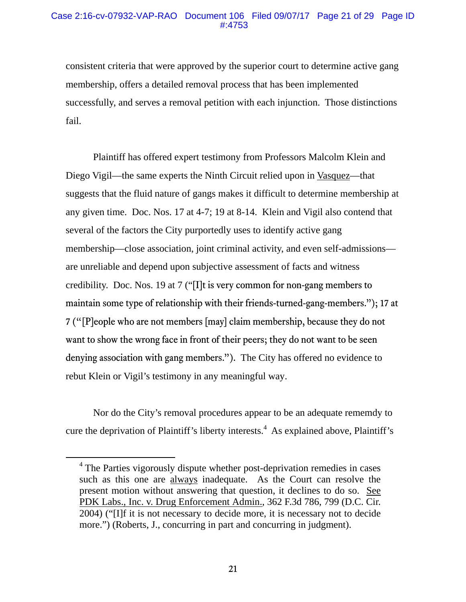# Case 2:16-cv-07932-VAP-RAO Document 106 Filed 09/07/17 Page 21 of 29 Page ID #:4753

consistent criteria that were approved by the superior court to determine active gang membership, offers a detailed removal process that has been implemented successfully, and serves a removal petition with each injunction. Those distinctions fail.

Plaintiff has offered expert testimony from Professors Malcolm Klein and Diego Vigil—the same experts the Ninth Circuit relied upon in Vasquez—that suggests that the fluid nature of gangs makes it difficult to determine membership at any given time. Doc. Nos. 17 at 4-7; 19 at 8-14. Klein and Vigil also contend that several of the factors the City purportedly uses to identify active gang membership—close association, joint criminal activity, and even self-admissions are unreliable and depend upon subjective assessment of facts and witness credibility. Doc. Nos. 19 at 7 ("[I]t is very common for non-gang members to maintain some type of relationship with their friends-turned-gang-members."); 17 at 7 ("[P]eople who are not members [may] claim membership, because they do not want to show the wrong face in front of their peers; they do not want to be seen denying association with gang members."). The City has offered no evidence to rebut Klein or Vigil's testimony in any meaningful way.

Nor do the City's removal procedures appear to be an adequate rememdy to cure the deprivation of Plaintiff's liberty interests.<sup>4</sup> As explained above, Plaintiff's

<sup>4</sup> The Parties vigorously dispute whether post-deprivation remedies in cases such as this one are always inadequate. As the Court can resolve the present motion without answering that question, it declines to do so. See PDK Labs., Inc. v. Drug Enforcement Admin., 362 F.3d 786, 799 (D.C. Cir. 2004) ("[I]f it is not necessary to decide more, it is necessary not to decide more.") (Roberts, J., concurring in part and concurring in judgment).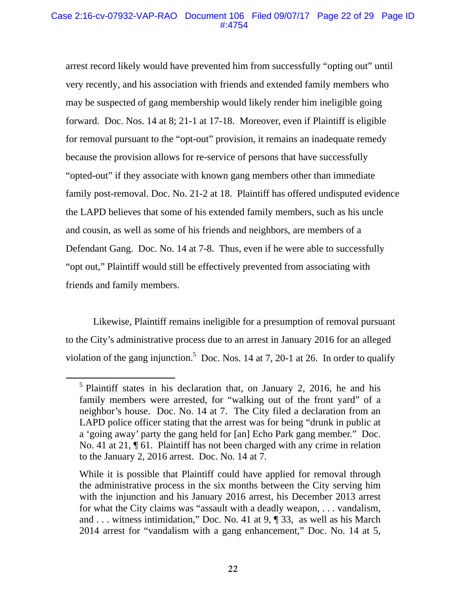# Case 2:16-cv-07932-VAP-RAO Document 106 Filed 09/07/17 Page 22 of 29 Page ID #:4754

arrest record likely would have prevented him from successfully "opting out" until very recently, and his association with friends and extended family members who may be suspected of gang membership would likely render him ineligible going forward. Doc. Nos. 14 at 8; 21-1 at 17-18. Moreover, even if Plaintiff is eligible for removal pursuant to the "opt-out" provision, it remains an inadequate remedy because the provision allows for re-service of persons that have successfully "opted-out" if they associate with known gang members other than immediate family post-removal. Doc. No. 21-2 at 18. Plaintiff has offered undisputed evidence the LAPD believes that some of his extended family members, such as his uncle and cousin, as well as some of his friends and neighbors, are members of a Defendant Gang. Doc. No. 14 at 7-8. Thus, even if he were able to successfully "opt out," Plaintiff would still be effectively prevented from associating with friends and family members.

Likewise, Plaintiff remains ineligible for a presumption of removal pursuant to the City's administrative process due to an arrest in January 2016 for an alleged violation of the gang injunction.<sup>5</sup> Doc. Nos. 14 at 7, 20-1 at 26. In order to qualify

<sup>&</sup>lt;sup>5</sup> Plaintiff states in his declaration that, on January 2, 2016, he and his family members were arrested, for "walking out of the front yard" of a neighbor's house. Doc. No. 14 at 7. The City filed a declaration from an LAPD police officer stating that the arrest was for being "drunk in public at a 'going away' party the gang held for [an] Echo Park gang member." Doc. No. 41 at 21, ¶ 61. Plaintiff has not been charged with any crime in relation to the January 2, 2016 arrest. Doc. No. 14 at 7.

While it is possible that Plaintiff could have applied for removal through the administrative process in the six months between the City serving him with the injunction and his January 2016 arrest, his December 2013 arrest for what the City claims was "assault with a deadly weapon, . . . vandalism, and . . . witness intimidation," Doc. No. 41 at 9, ¶ 33, as well as his March 2014 arrest for "vandalism with a gang enhancement," Doc. No. 14 at 5,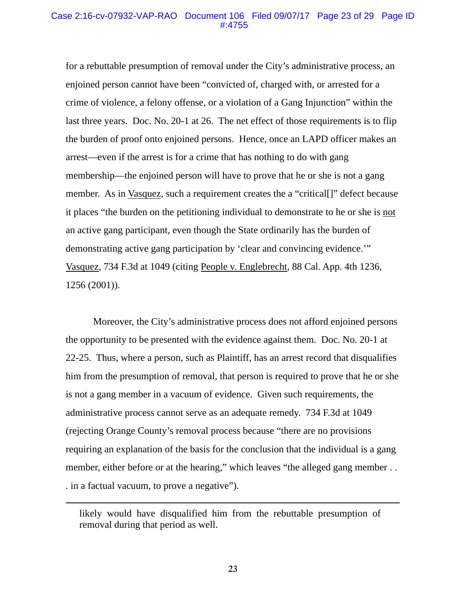## Case 2:16-cv-07932-VAP-RAO Document 106 Filed 09/07/17 Page 23 of 29 Page ID #:4755

for a rebuttable presumption of removal under the City's administrative process, an enjoined person cannot have been "convicted of, charged with, or arrested for a crime of violence, a felony offense, or a violation of a Gang Injunction" within the last three years. Doc. No. 20-1 at 26. The net effect of those requirements is to flip the burden of proof onto enjoined persons. Hence, once an LAPD officer makes an arrest—even if the arrest is for a crime that has nothing to do with gang membership—the enjoined person will have to prove that he or she is not a gang member. As in Vasquez, such a requirement creates the a "critical[]" defect because it places "the burden on the petitioning individual to demonstrate to he or she is not an active gang participant, even though the State ordinarily has the burden of demonstrating active gang participation by 'clear and convincing evidence.'" Vasquez, 734 F.3d at 1049 (citing People v. Englebrecht, 88 Cal. App. 4th 1236, 1256 (2001)).

Moreover, the City's administrative process does not afford enjoined persons the opportunity to be presented with the evidence against them. Doc. No. 20-1 at 22-25. Thus, where a person, such as Plaintiff, has an arrest record that disqualifies him from the presumption of removal, that person is required to prove that he or she is not a gang member in a vacuum of evidence. Given such requirements, the administrative process cannot serve as an adequate remedy. 734 F.3d at 1049 (rejecting Orange County's removal process because "there are no provisions requiring an explanation of the basis for the conclusion that the individual is a gang member, either before or at the hearing," which leaves "the alleged gang member... . in a factual vacuum, to prove a negative").

l

likely would have disqualified him from the rebuttable presumption of removal during that period as well.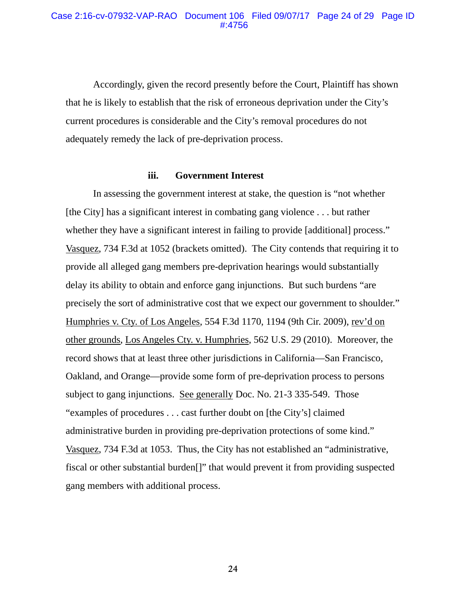Accordingly, given the record presently before the Court, Plaintiff has shown that he is likely to establish that the risk of erroneous deprivation under the City's current procedures is considerable and the City's removal procedures do not adequately remedy the lack of pre-deprivation process.

## **iii. Government Interest**

In assessing the government interest at stake, the question is "not whether [the City] has a significant interest in combating gang violence . . . but rather whether they have a significant interest in failing to provide [additional] process." Vasquez, 734 F.3d at 1052 (brackets omitted). The City contends that requiring it to provide all alleged gang members pre-deprivation hearings would substantially delay its ability to obtain and enforce gang injunctions. But such burdens "are precisely the sort of administrative cost that we expect our government to shoulder." Humphries v. Cty. of Los Angeles, 554 F.3d 1170, 1194 (9th Cir. 2009), rev'd on other grounds, Los Angeles Cty. v. Humphries, 562 U.S. 29 (2010). Moreover, the record shows that at least three other jurisdictions in California—San Francisco, Oakland, and Orange—provide some form of pre-deprivation process to persons subject to gang injunctions. See generally Doc. No. 21-3 335-549. Those "examples of procedures . . . cast further doubt on [the City's] claimed administrative burden in providing pre-deprivation protections of some kind." Vasquez, 734 F.3d at 1053. Thus, the City has not established an "administrative, fiscal or other substantial burden[]" that would prevent it from providing suspected gang members with additional process.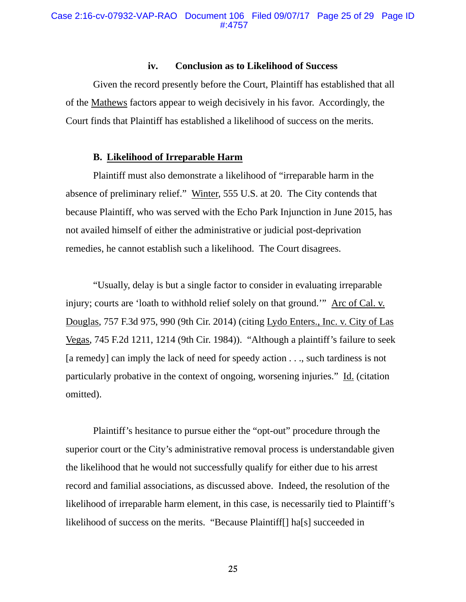#### **iv. Conclusion as to Likelihood of Success**

Given the record presently before the Court, Plaintiff has established that all of the Mathews factors appear to weigh decisively in his favor. Accordingly, the Court finds that Plaintiff has established a likelihood of success on the merits.

## **B. Likelihood of Irreparable Harm**

Plaintiff must also demonstrate a likelihood of "irreparable harm in the absence of preliminary relief." Winter, 555 U.S. at 20. The City contends that because Plaintiff, who was served with the Echo Park Injunction in June 2015, has not availed himself of either the administrative or judicial post-deprivation remedies, he cannot establish such a likelihood. The Court disagrees.

"Usually, delay is but a single factor to consider in evaluating irreparable injury; courts are 'loath to withhold relief solely on that ground.'" Arc of Cal. v. Douglas, 757 F.3d 975, 990 (9th Cir. 2014) (citing Lydo Enters., Inc. v. City of Las Vegas, 745 F.2d 1211, 1214 (9th Cir. 1984)). "Although a plaintiff's failure to seek [a remedy] can imply the lack of need for speedy action . . ., such tardiness is not particularly probative in the context of ongoing, worsening injuries." Id. (citation omitted).

Plaintiff's hesitance to pursue either the "opt-out" procedure through the superior court or the City's administrative removal process is understandable given the likelihood that he would not successfully qualify for either due to his arrest record and familial associations, as discussed above. Indeed, the resolution of the likelihood of irreparable harm element, in this case, is necessarily tied to Plaintiff's likelihood of success on the merits. "Because Plaintiff[] ha[s] succeeded in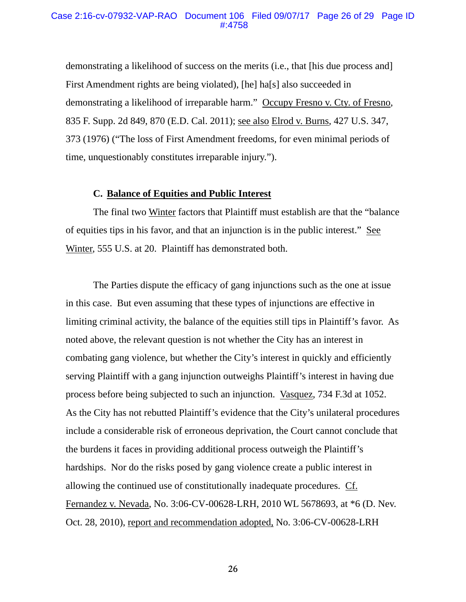#### Case 2:16-cv-07932-VAP-RAO Document 106 Filed 09/07/17 Page 26 of 29 Page ID #:4758

demonstrating a likelihood of success on the merits (i.e., that [his due process and] First Amendment rights are being violated), [he] ha[s] also succeeded in demonstrating a likelihood of irreparable harm." Occupy Fresno v. Cty. of Fresno, 835 F. Supp. 2d 849, 870 (E.D. Cal. 2011); see also Elrod v. Burns*,* 427 U.S. 347, 373 (1976) ("The loss of First Amendment freedoms, for even minimal periods of time, unquestionably constitutes irreparable injury.").

# **C. Balance of Equities and Public Interest**

The final two Winter factors that Plaintiff must establish are that the "balance of equities tips in his favor, and that an injunction is in the public interest." See Winter, 555 U.S. at 20. Plaintiff has demonstrated both.

 The Parties dispute the efficacy of gang injunctions such as the one at issue in this case. But even assuming that these types of injunctions are effective in limiting criminal activity, the balance of the equities still tips in Plaintiff's favor. As noted above, the relevant question is not whether the City has an interest in combating gang violence, but whether the City's interest in quickly and efficiently serving Plaintiff with a gang injunction outweighs Plaintiff's interest in having due process before being subjected to such an injunction. Vasquez, 734 F.3d at 1052. As the City has not rebutted Plaintiff's evidence that the City's unilateral procedures include a considerable risk of erroneous deprivation, the Court cannot conclude that the burdens it faces in providing additional process outweigh the Plaintiff's hardships. Nor do the risks posed by gang violence create a public interest in allowing the continued use of constitutionally inadequate procedures. Cf. Fernandez v. Nevada, No. 3:06-CV-00628-LRH, 2010 WL 5678693, at \*6 (D. Nev. Oct. 28, 2010), report and recommendation adopted, No. 3:06-CV-00628-LRH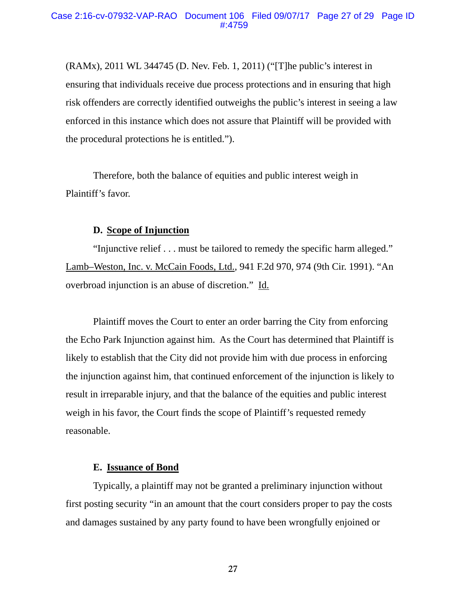(RAMx), 2011 WL 344745 (D. Nev. Feb. 1, 2011) ("[T]he public's interest in ensuring that individuals receive due process protections and in ensuring that high risk offenders are correctly identified outweighs the public's interest in seeing a law enforced in this instance which does not assure that Plaintiff will be provided with the procedural protections he is entitled.").

Therefore, both the balance of equities and public interest weigh in Plaintiff's favor.

# **D. Scope of Injunction**

"Injunctive relief . . . must be tailored to remedy the specific harm alleged." Lamb–Weston, Inc. v. McCain Foods, Ltd., 941 F.2d 970, 974 (9th Cir. 1991). "An overbroad injunction is an abuse of discretion." Id.

Plaintiff moves the Court to enter an order barring the City from enforcing the Echo Park Injunction against him. As the Court has determined that Plaintiff is likely to establish that the City did not provide him with due process in enforcing the injunction against him, that continued enforcement of the injunction is likely to result in irreparable injury, and that the balance of the equities and public interest weigh in his favor, the Court finds the scope of Plaintiff's requested remedy reasonable.

#### **E. Issuance of Bond**

Typically, a plaintiff may not be granted a preliminary injunction without first posting security "in an amount that the court considers proper to pay the costs and damages sustained by any party found to have been wrongfully enjoined or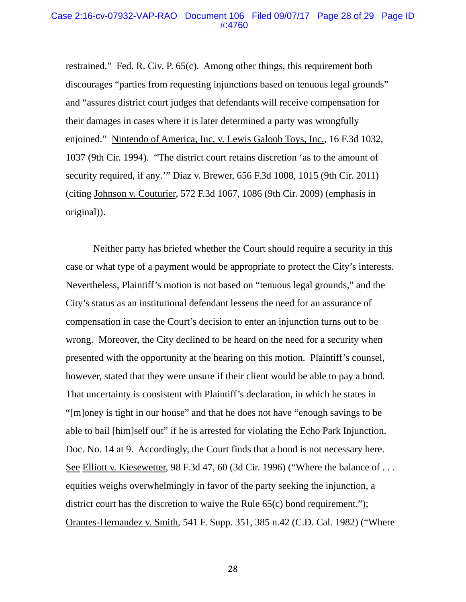restrained." Fed. R. Civ. P. 65(c). Among other things, this requirement both discourages "parties from requesting injunctions based on tenuous legal grounds" and "assures district court judges that defendants will receive compensation for their damages in cases where it is later determined a party was wrongfully enjoined." Nintendo of America, Inc. v. Lewis Galoob Toys, Inc., 16 F.3d 1032, 1037 (9th Cir. 1994). "The district court retains discretion 'as to the amount of security required, if any.'" Diaz v. Brewer, 656 F.3d 1008, 1015 (9th Cir. 2011) (citing Johnson v. Couturier, 572 F.3d 1067, 1086 (9th Cir. 2009) (emphasis in original)).

Neither party has briefed whether the Court should require a security in this case or what type of a payment would be appropriate to protect the City's interests. Nevertheless, Plaintiff's motion is not based on "tenuous legal grounds," and the City's status as an institutional defendant lessens the need for an assurance of compensation in case the Court's decision to enter an injunction turns out to be wrong. Moreover, the City declined to be heard on the need for a security when presented with the opportunity at the hearing on this motion. Plaintiff's counsel, however, stated that they were unsure if their client would be able to pay a bond. That uncertainty is consistent with Plaintiff's declaration, in which he states in "[m]oney is tight in our house" and that he does not have "enough savings to be able to bail [him]self out" if he is arrested for violating the Echo Park Injunction. Doc. No. 14 at 9. Accordingly, the Court finds that a bond is not necessary here. See Elliott v. Kiesewetter, 98 F.3d 47, 60 (3d Cir. 1996) ("Where the balance of . . . equities weighs overwhelmingly in favor of the party seeking the injunction, a district court has the discretion to waive the Rule 65(c) bond requirement."); Orantes-Hernandez v. Smith, 541 F. Supp. 351, 385 n.42 (C.D. Cal. 1982) ("Where